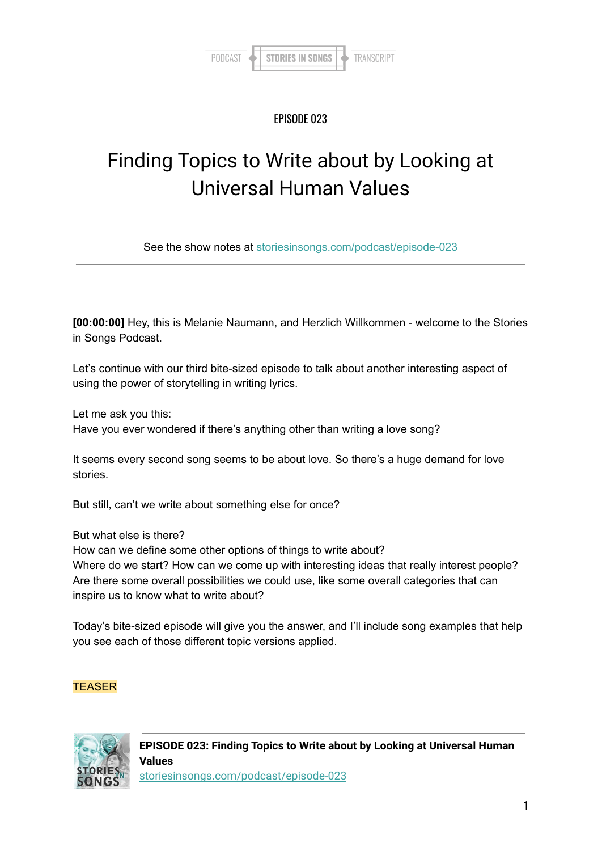#### EPISODE 023

# Finding Topics to Write about by Looking at Universal Human Values

See the show notes at [storiesinsongs.com/podcast/episode-023](https://storiesinsongs.com/podcast/episode-023)

**[00:00:00]** Hey, this is Melanie Naumann, and Herzlich Willkommen - welcome to the Stories in Songs Podcast.

Let's continue with our third bite-sized episode to talk about another interesting aspect of using the power of storytelling in writing lyrics.

Let me ask you this:

Have you ever wondered if there's anything other than writing a love song?

It seems every second song seems to be about love. So there's a huge demand for love stories.

But still, can't we write about something else for once?

But what else is there?

How can we define some other options of things to write about? Where do we start? How can we come up with interesting ideas that really interest people? Are there some overall possibilities we could use, like some overall categories that can inspire us to know what to write about?

Today's bite-sized episode will give you the answer, and I'll include song examples that help you see each of those different topic versions applied.

#### **TEASER**

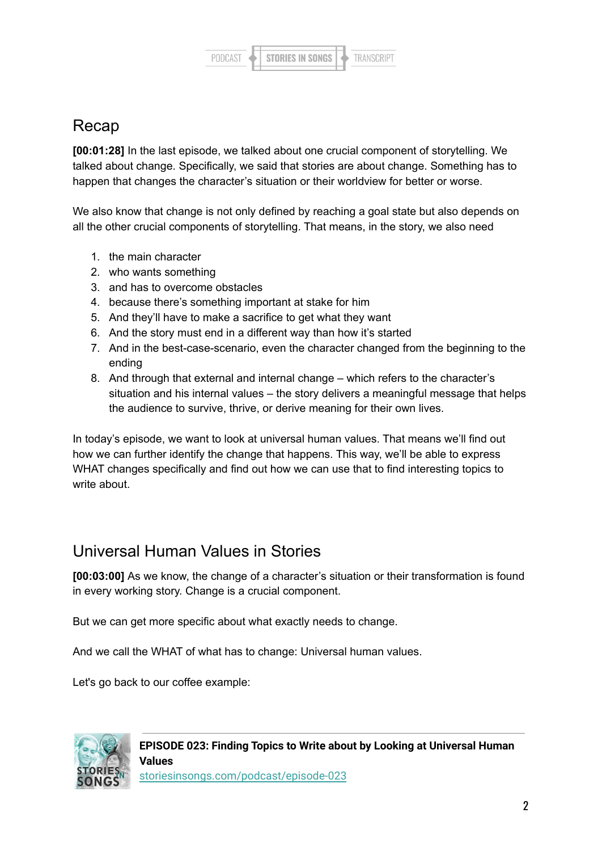

### Recap

**[00:01:28]** In the last episode, we talked about one crucial component of storytelling. We talked about change. Specifically, we said that stories are about change. Something has to happen that changes the character's situation or their worldview for better or worse.

We also know that change is not only defined by reaching a goal state but also depends on all the other crucial components of storytelling. That means, in the story, we also need

- 1. the main character
- 2. who wants something
- 3. and has to overcome obstacles
- 4. because there's something important at stake for him
- 5. And they'll have to make a sacrifice to get what they want
- 6. And the story must end in a different way than how it's started
- 7. And in the best-case-scenario, even the character changed from the beginning to the ending
- 8. And through that external and internal change which refers to the character's situation and his internal values – the story delivers a meaningful message that helps the audience to survive, thrive, or derive meaning for their own lives.

In today's episode, we want to look at universal human values. That means we'll find out how we can further identify the change that happens. This way, we'll be able to express WHAT changes specifically and find out how we can use that to find interesting topics to write about.

### Universal Human Values in Stories

**[00:03:00]** As we know, the change of a character's situation or their transformation is found in every working story. Change is a crucial component.

But we can get more specific about what exactly needs to change.

And we call the WHAT of what has to change: Universal human values.

Let's go back to our coffee example:

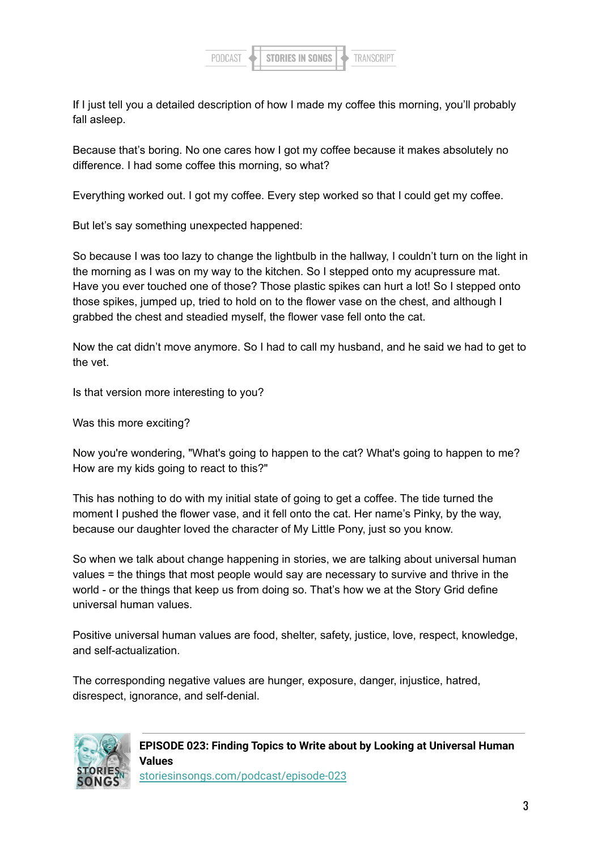

If I just tell you a detailed description of how I made my coffee this morning, you'll probably fall asleep.

Because that's boring. No one cares how I got my coffee because it makes absolutely no difference. I had some coffee this morning, so what?

Everything worked out. I got my coffee. Every step worked so that I could get my coffee.

But let's say something unexpected happened:

So because I was too lazy to change the lightbulb in the hallway, I couldn't turn on the light in the morning as I was on my way to the kitchen. So I stepped onto my acupressure mat. Have you ever touched one of those? Those plastic spikes can hurt a lot! So I stepped onto those spikes, jumped up, tried to hold on to the flower vase on the chest, and although I grabbed the chest and steadied myself, the flower vase fell onto the cat.

Now the cat didn't move anymore. So I had to call my husband, and he said we had to get to the vet.

Is that version more interesting to you?

Was this more exciting?

Now you're wondering, "What's going to happen to the cat? What's going to happen to me? How are my kids going to react to this?"

This has nothing to do with my initial state of going to get a coffee. The tide turned the moment I pushed the flower vase, and it fell onto the cat. Her name's Pinky, by the way, because our daughter loved the character of My Little Pony, just so you know.

So when we talk about change happening in stories, we are talking about universal human values = the things that most people would say are necessary to survive and thrive in the world - or the things that keep us from doing so. That's how we at the Story Grid define universal human values.

Positive universal human values are food, shelter, safety, justice, love, respect, knowledge, and self-actualization.

The corresponding negative values are hunger, exposure, danger, injustice, hatred, disrespect, ignorance, and self-denial.



**EPISODE 023: Finding Topics to Write about by Looking at Universal Human Values**

[storiesinsongs.com/podcast/episode-023](https://storiesinsongs.com/podcast/episode-023/)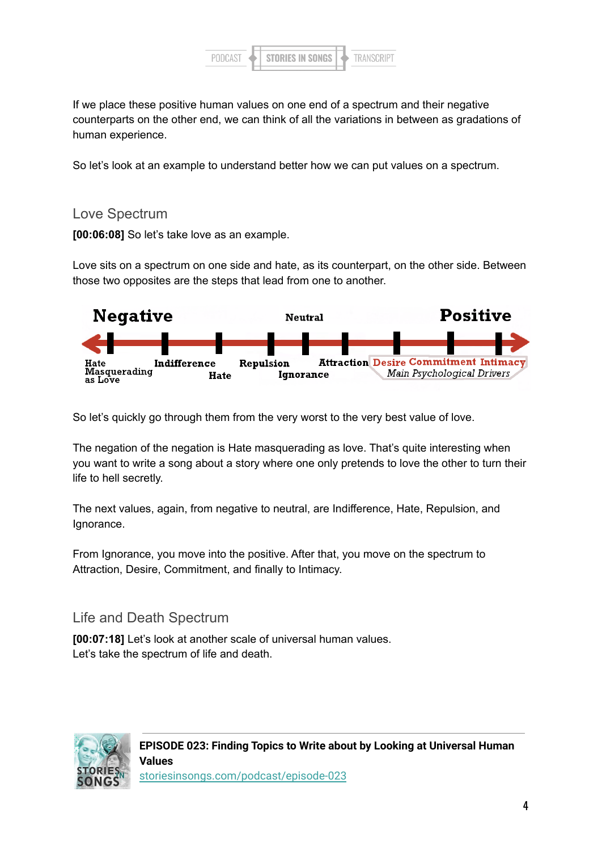

If we place these positive human values on one end of a spectrum and their negative counterparts on the other end, we can think of all the variations in between as gradations of human experience.

So let's look at an example to understand better how we can put values on a spectrum.

#### Love Spectrum

**[00:06:08]** So let's take love as an example.

Love sits on a spectrum on one side and hate, as its counterpart, on the other side. Between those two opposites are the steps that lead from one to another.



So let's quickly go through them from the very worst to the very best value of love.

The negation of the negation is Hate masquerading as love. That's quite interesting when you want to write a song about a story where one only pretends to love the other to turn their life to hell secretly.

The next values, again, from negative to neutral, are Indifference, Hate, Repulsion, and Ignorance.

From Ignorance, you move into the positive. After that, you move on the spectrum to Attraction, Desire, Commitment, and finally to Intimacy.

#### Life and Death Spectrum

**[00:07:18]** Let's look at another scale of universal human values. Let's take the spectrum of life and death.

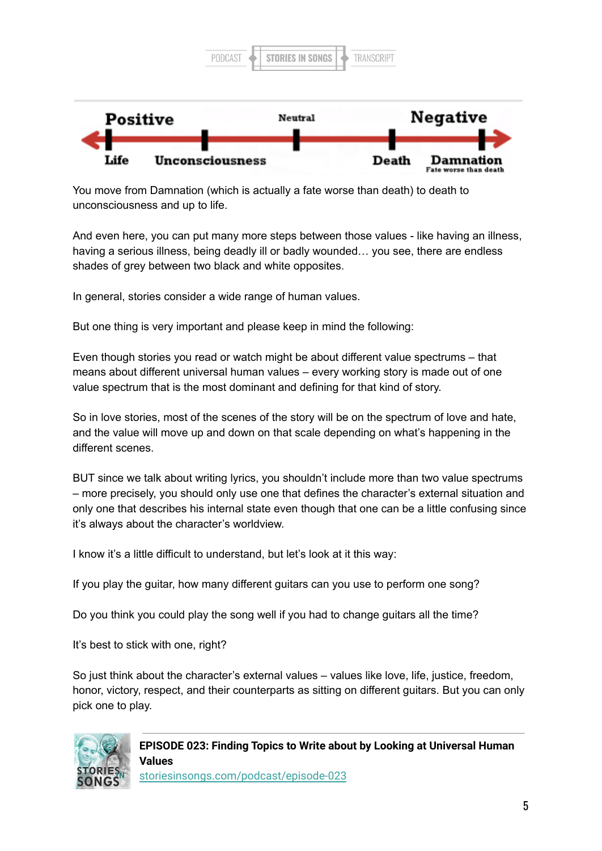

You move from Damnation (which is actually a fate worse than death) to death to unconsciousness and up to life.

And even here, you can put many more steps between those values - like having an illness, having a serious illness, being deadly ill or badly wounded… you see, there are endless shades of grey between two black and white opposites.

In general, stories consider a wide range of human values.

But one thing is very important and please keep in mind the following:

Even though stories you read or watch might be about different value spectrums – that means about different universal human values – every working story is made out of one value spectrum that is the most dominant and defining for that kind of story.

So in love stories, most of the scenes of the story will be on the spectrum of love and hate, and the value will move up and down on that scale depending on what's happening in the different scenes.

BUT since we talk about writing lyrics, you shouldn't include more than two value spectrums – more precisely, you should only use one that defines the character's external situation and only one that describes his internal state even though that one can be a little confusing since it's always about the character's worldview.

I know it's a little difficult to understand, but let's look at it this way:

If you play the guitar, how many different guitars can you use to perform one song?

Do you think you could play the song well if you had to change guitars all the time?

It's best to stick with one, right?

So just think about the character's external values – values like love, life, justice, freedom, honor, victory, respect, and their counterparts as sitting on different guitars. But you can only pick one to play.



**EPISODE 023: Finding Topics to Write about by Looking at Universal Human Values** [storiesinsongs.com/podcast/episode-023](https://storiesinsongs.com/podcast/episode-023/)

5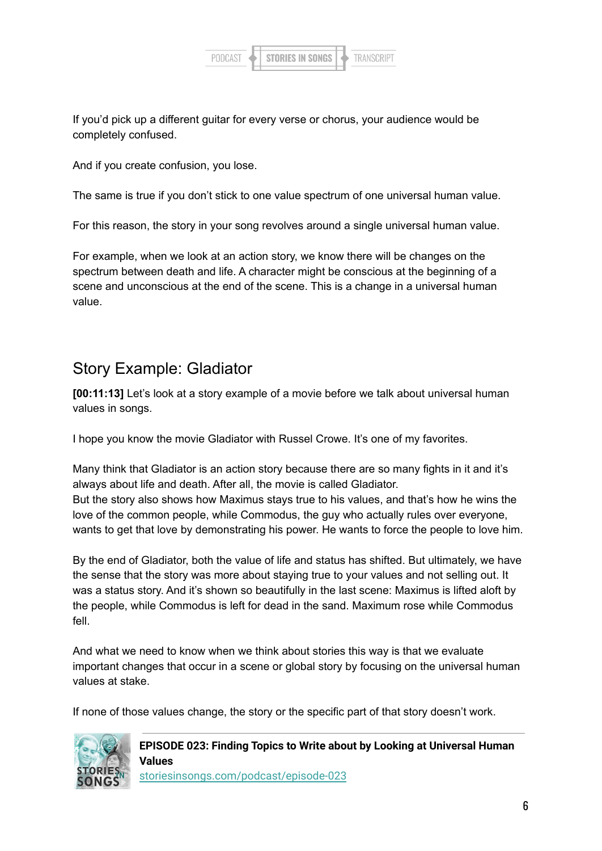

If you'd pick up a different guitar for every verse or chorus, your audience would be completely confused.

And if you create confusion, you lose.

The same is true if you don't stick to one value spectrum of one universal human value.

For this reason, the story in your song revolves around a single universal human value.

For example, when we look at an action story, we know there will be changes on the spectrum between death and life. A character might be conscious at the beginning of a scene and unconscious at the end of the scene. This is a change in a universal human value.

### Story Example: Gladiator

**[00:11:13]** Let's look at a story example of a movie before we talk about universal human values in songs.

I hope you know the movie Gladiator with Russel Crowe. It's one of my favorites.

Many think that Gladiator is an action story because there are so many fights in it and it's always about life and death. After all, the movie is called Gladiator. But the story also shows how Maximus stays true to his values, and that's how he wins the love of the common people, while Commodus, the guy who actually rules over everyone, wants to get that love by demonstrating his power. He wants to force the people to love him.

By the end of Gladiator, both the value of life and status has shifted. But ultimately, we have the sense that the story was more about staying true to your values and not selling out. It was a status story. And it's shown so beautifully in the last scene: Maximus is lifted aloft by the people, while Commodus is left for dead in the sand. Maximum rose while Commodus fell.

And what we need to know when we think about stories this way is that we evaluate important changes that occur in a scene or global story by focusing on the universal human values at stake.

If none of those values change, the story or the specific part of that story doesn't work.



**EPISODE 023: Finding Topics to Write about by Looking at Universal Human Values** [storiesinsongs.com/podcast/episode-023](https://storiesinsongs.com/podcast/episode-023/)

6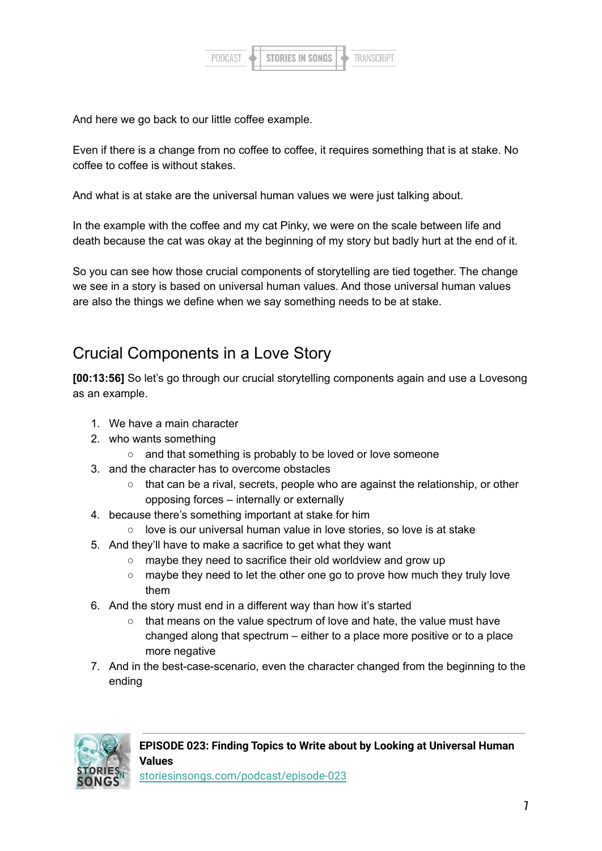

And here we go back to our little coffee example.

Even if there is a change from no coffee to coffee, it requires something that is at stake. No coffee to coffee is without stakes.

And what is at stake are the universal human values we were just talking about.

In the example with the coffee and my cat Pinky, we were on the scale between life and death because the cat was okay at the beginning of my story but badly hurt at the end of it.

So you can see how those crucial components of storytelling are tied together. The change we see in a story is based on universal human values. And those universal human values are also the things we define when we say something needs to be at stake.

### Crucial Components in a Love Story

**[00:13:56]** So let's go through our crucial storytelling components again and use a Lovesong as an example.

- 1. We have a main character
- 2. who wants something
	- and that something is probably to be loved or love someone
- 3. and the character has to overcome obstacles
	- that can be a rival, secrets, people who are against the relationship, or other opposing forces – internally or externally
- 4. because there's something important at stake for him
	- love is our universal human value in love stories, so love is at stake
- 5. And they'll have to make a sacrifice to get what they want
	- maybe they need to sacrifice their old worldview and grow up
	- maybe they need to let the other one go to prove how much they truly love them
- 6. And the story must end in a different way than how it's started
	- that means on the value spectrum of love and hate, the value must have changed along that spectrum – either to a place more positive or to a place more negative
- 7. And in the best-case-scenario, even the character changed from the beginning to the ending

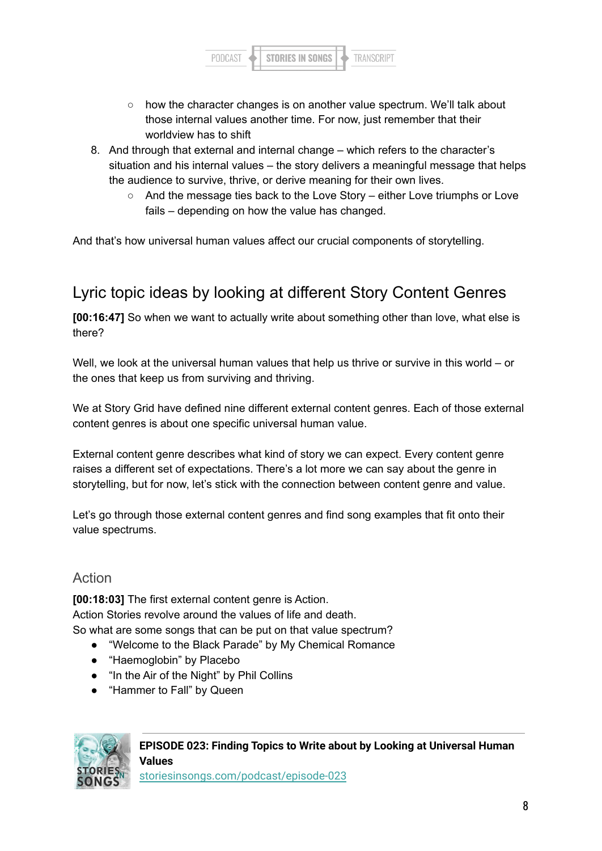

- how the character changes is on another value spectrum. We'll talk about those internal values another time. For now, just remember that their worldview has to shift
- 8. And through that external and internal change which refers to the character's situation and his internal values – the story delivers a meaningful message that helps the audience to survive, thrive, or derive meaning for their own lives.
	- And the message ties back to the Love Story either Love triumphs or Love fails – depending on how the value has changed.

And that's how universal human values affect our crucial components of storytelling.

## Lyric topic ideas by looking at different Story Content Genres

**[00:16:47]** So when we want to actually write about something other than love, what else is there?

Well, we look at the universal human values that help us thrive or survive in this world – or the ones that keep us from surviving and thriving.

We at Story Grid have defined nine different external content genres. Each of those external content genres is about one specific universal human value.

External content genre describes what kind of story we can expect. Every content genre raises a different set of expectations. There's a lot more we can say about the genre in storytelling, but for now, let's stick with the connection between content genre and value.

Let's go through those external content genres and find song examples that fit onto their value spectrums.

#### Action

**[00:18:03]** The first external content genre is Action. Action Stories revolve around the values of life and death. So what are some songs that can be put on that value spectrum?

- "Welcome to the Black Parade" by My Chemical Romance
- "Haemoglobin" by Placebo
- "In the Air of the Night" by Phil Collins
- "Hammer to Fall" by Queen

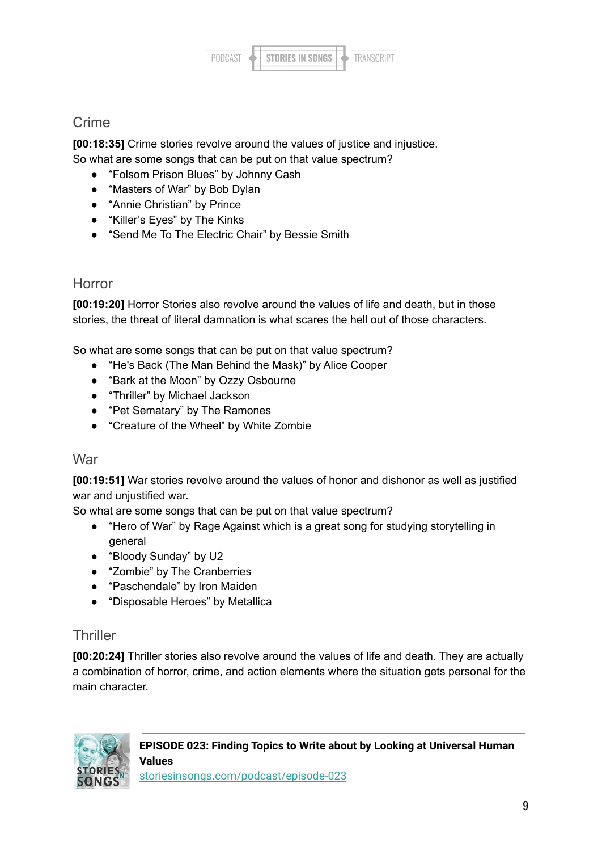

#### Crime

**[00:18:35]** Crime stories revolve around the values of justice and injustice. So what are some songs that can be put on that value spectrum?

- "Folsom Prison Blues" by Johnny Cash
- "Masters of War" by Bob Dylan
- "Annie Christian" by Prince
- "Killer's Eyes" by The Kinks
- "Send Me To The Electric Chair" by Bessie Smith

#### Horror

**[00:19:20]** Horror Stories also revolve around the values of life and death, but in those stories, the threat of literal damnation is what scares the hell out of those characters.

So what are some songs that can be put on that value spectrum?

- "He's Back (The Man Behind the Mask)" by Alice Cooper
- "Bark at the Moon" by Ozzy Osbourne
- "Thriller" by Michael Jackson
- "Pet Sematary" by The Ramones
- "Creature of the Wheel" by White Zombie

#### **War**

**[00:19:51]** War stories revolve around the values of honor and dishonor as well as justified war and unjustified war.

So what are some songs that can be put on that value spectrum?

- "Hero of War" by Rage Against which is a great song for studying storytelling in general
- "Bloody Sunday" by U2
- "Zombie" by The Cranberries
- "Paschendale" by Iron Maiden
- "Disposable Heroes" by Metallica

#### **Thriller**

**[00:20:24]** Thriller stories also revolve around the values of life and death. They are actually a combination of horror, crime, and action elements where the situation gets personal for the main character.



**EPISODE 023: Finding Topics to Write about by Looking at Universal Human Values**

[storiesinsongs.com/podcast/episode-023](https://storiesinsongs.com/podcast/episode-023/)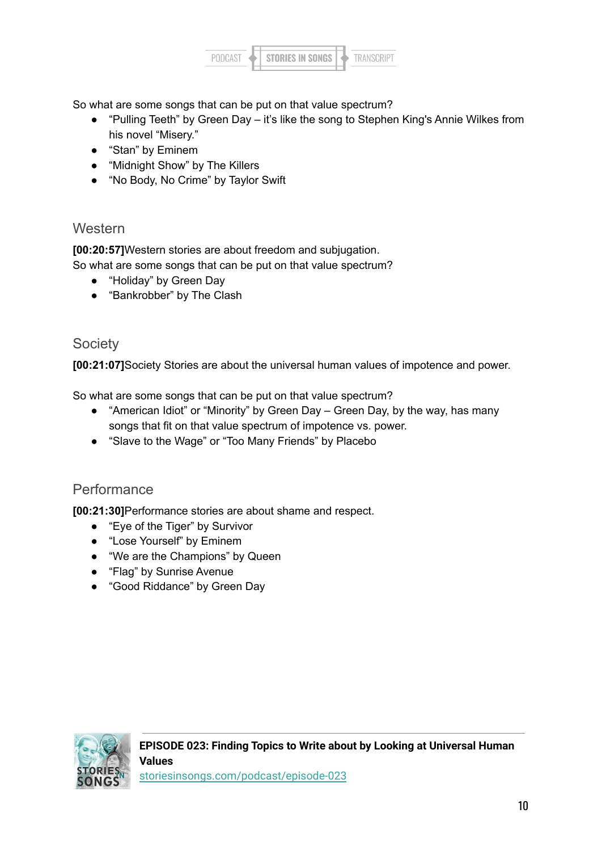

So what are some songs that can be put on that value spectrum?

- "Pulling Teeth" by Green Day it's like the song to Stephen King's Annie Wilkes from his novel "Misery."
- "Stan" by Eminem
- "Midnight Show" by The Killers
- "No Body, No Crime" by Taylor Swift

#### **Western**

**[00:20:57]**Western stories are about freedom and subjugation.

So what are some songs that can be put on that value spectrum?

- "Holiday" by Green Day
- "Bankrobber" by The Clash

#### **Society**

**[00:21:07]**Society Stories are about the universal human values of impotence and power.

So what are some songs that can be put on that value spectrum?

- "American Idiot" or "Minority" by Green Day Green Day, by the way, has many songs that fit on that value spectrum of impotence vs. power.
- "Slave to the Wage" or "Too Many Friends" by Placebo

#### Performance

**[00:21:30]**Performance stories are about shame and respect.

- "Eve of the Tiger" by Survivor
- "Lose Yourself" by Eminem
- "We are the Champions" by Queen
- "Flag" by Sunrise Avenue
- "Good Riddance" by Green Day